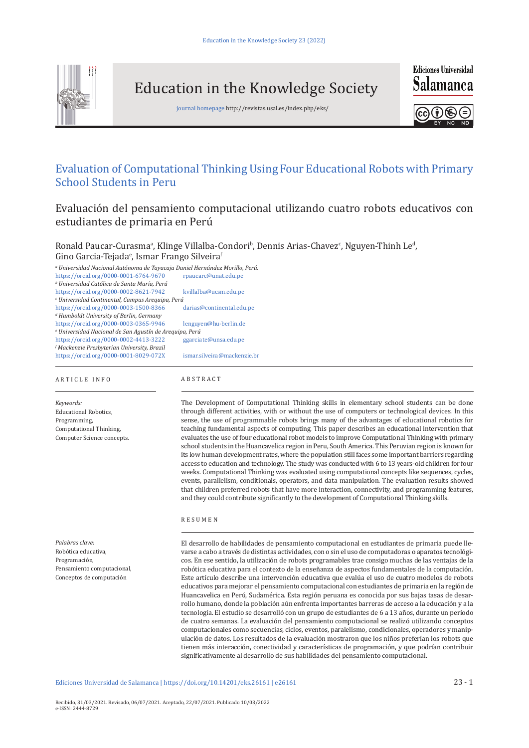

Education in the Knowledge Society

journal homepage http://revistas.usal.es/index.php/eks/



**Ediciones Universidad** 

G)  $\mathscr{E}$ 

# Evaluation of Computational Thinking Using Four Educational Robots with Primary School Students in Peru

Evaluación del pensamiento computacional utilizando cuatro robots educativos con estudiantes de primaria en Perú

Ronald Paucar-Curasmaª, Klinge Villalba-Condori<sup>b</sup>, Dennis Arias-Chavez<sup>c</sup>, Nguyen-Thinh Le<sup>a</sup>, Gino Garcia-Tejada°, Ismar Frango Silveira<mark>'</mark>

*a Universidad Nacional Autónoma de Tayacaja Daniel Hernández Morillo, Perú.* <https://orcid.org/0000-0001-6764-9670> rpaucarc@unat.edu.pe

*b Universidad Católica de Santa María, Perú*

<https://orcid.org/0000-0002-8621-7942> kvillalba@ucsm.edu.pe *c Universidad Continental, Campus Arequipa, Perú* <https://orcid.org/0000-0003-1500-8366> darias@continental.edu.pe *d Humboldt University of Berlin, Germany* <https://orcid.org/0000-0003-0365-9946> lenguyen@hu-berlin.de

*e Universidad Nacional de San Agustín de Arequipa, Perú* <https://orcid.org/0000-0002-4413-3222> ggarciate@unsa.edu.pe

*f Mackenzie Presbyterian University, Brazil* <https://orcid.org/0000-0001-8029-072X> ismar.silveira@mackenzie.br

### ARTICLE INFO

*Keywords:* Educational Robotics, Programming, Computational Thinking, Computer Science concepts.

*Palabras clave:* Robótica educativa, Programación, Pensamiento computacional, Conceptos de computación

ABSTRACT

The Development of Computational Thinking skills in elementary school students can be done through different activities, with or without the use of computers or technological devices. In this sense, the use of programmable robots brings many of the advantages of educational robotics for teaching fundamental aspects of computing. This paper describes an educational intervention that evaluates the use of four educational robot models to improve Computational Thinking with primary school students in the Huancavelica region in Peru, South America. This Peruvian region is known for its low human development rates, where the population still faces some important barriers regarding access to education and technology. The study was conducted with 6 to 13 years-old children for four weeks. Computational Thinking was evaluated using computational concepts like sequences, cycles, events, parallelism, conditionals, operators, and data manipulation. The evaluation results showed that children preferred robots that have more interaction, connectivity, and programming features, and they could contribute significantly to the development of Computational Thinking skills.

### RESUMEN

El desarrollo de habilidades de pensamiento computacional en estudiantes de primaria puede llevarse a cabo a través de distintas actividades, con o sin el uso de computadoras o aparatos tecnológicos. En ese sentido, la utilización de robots programables trae consigo muchas de las ventajas de la robótica educativa para el contexto de la enseñanza de aspectos fundamentales de la computación. Este artículo describe una intervención educativa que evalúa el uso de cuatro modelos de robots educativos para mejorar el pensamiento computacional con estudiantes de primaria en la región de Huancavelica en Perú, Sudamérica. Esta región peruana es conocida por sus bajas tasas de desarrollo humano, donde la población aún enfrenta importantes barreras de acceso a la educación y a la tecnología. El estudio se desarrolló con un grupo de estudiantes de 6 a 13 años, durante un período de cuatro semanas. La evaluación del pensamiento computacional se realizó utilizando conceptos computacionales como secuencias, ciclos, eventos, paralelismo, condicionales, operadores y manipulación de datos. Los resultados de la evaluación mostraron que los niños preferían los robots que tienen más interacción, conectividad y características de programación, y que podrían contribuir significativamente al desarrollo de sus habilidades del pensamiento computacional.

Ediciones Universidad de Salamanca | <https://doi.org/10.14201/eks.26161> | e26161 23 - 1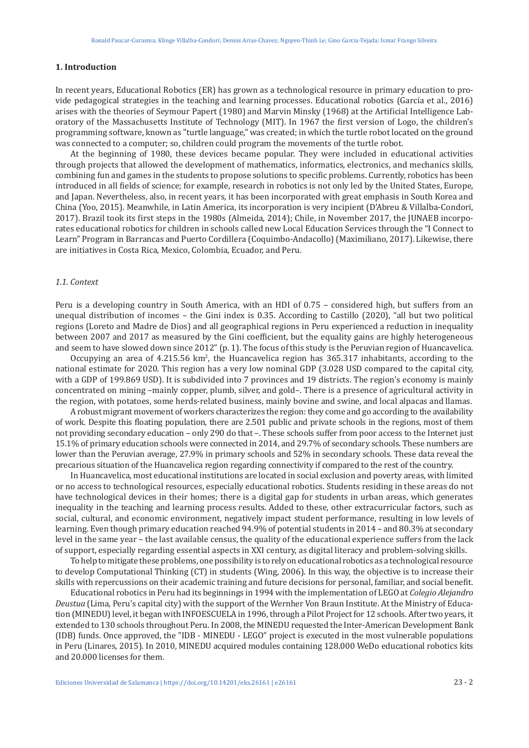# **1. Introduction**

In recent years, Educational Robotics (ER) has grown as a technological resource in primary education to provide pedagogical strategies in the teaching and learning processes. Educational robotics (García et al., 2016) arises with the theories of Seymour Papert (1980) and Marvin Minsky (1968) at the Artificial Intelligence Laboratory of the Massachusetts Institute of Technology (MIT). In 1967 the first version of Logo, the children's programming software, known as "turtle language," was created; in which the turtle robot located on the ground was connected to a computer; so, children could program the movements of the turtle robot.

At the beginning of 1980, these devices became popular. They were included in educational activities through projects that allowed the development of mathematics, informatics, electronics, and mechanics skills, combining fun and games in the students to propose solutions to specific problems. Currently, robotics has been introduced in all fields of science; for example, research in robotics is not only led by the United States, Europe, and Japan. Nevertheless, also, in recent years, it has been incorporated with great emphasis in South Korea and China (Yoo, 2015). Meanwhile, in Latin America, its incorporation is very incipient (D'Abreu & Villalba-Condori, 2017). Brazil took its first steps in the 1980s (Almeida, 2014); Chile, in November 2017, the JUNAEB incorporates educational robotics for children in schools called new Local Education Services through the "I Connect to Learn" Program in Barrancas and Puerto Cordillera (Coquimbo-Andacollo) (Maximiliano, 2017). Likewise, there are initiatives in Costa Rica, Mexico, Colombia, Ecuador, and Peru.

### *1.1. Context*

Peru is a developing country in South America, with an HDI of 0.75 – considered high, but suffers from an unequal distribution of incomes – the Gini index is 0.35. According to Castillo (2020), "all but two political regions (Loreto and Madre de Dios) and all geographical regions in Peru experienced a reduction in inequality between 2007 and 2017 as measured by the Gini coefficient, but the equality gains are highly heterogeneous and seem to have slowed down since 2012" (p. 1). The focus of this study is the Peruvian region of Huancavelica.

Occupying an area of 4.215.56 km<sup>2</sup>, the Huancavelica region has 365.317 inhabitants, according to the national estimate for 2020. This region has a very low nominal GDP (3.028 USD compared to the capital city, with a GDP of 199.869 USD). It is subdivided into 7 provinces and 19 districts. The region's economy is mainly concentrated on mining –mainly copper, plumb, silver, and gold–. There is a presence of agricultural activity in the region, with potatoes, some herds-related business, mainly bovine and swine, and local alpacas and llamas.

A robust migrant movement of workers characterizes the region: they come and go according to the availability of work. Despite this floating population, there are 2.501 public and private schools in the regions, most of them not providing secondary education – only 290 do that –. These schools suffer from poor access to the Internet just 15.1% of primary education schools were connected in 2014, and 29.7% of secondary schools. These numbers are lower than the Peruvian average, 27.9% in primary schools and 52% in secondary schools. These data reveal the precarious situation of the Huancavelica region regarding connectivity if compared to the rest of the country.

In Huancavelica, most educational institutions are located in social exclusion and poverty areas, with limited or no access to technological resources, especially educational robotics. Students residing in these areas do not have technological devices in their homes; there is a digital gap for students in urban areas, which generates inequality in the teaching and learning process results. Added to these, other extracurricular factors, such as social, cultural, and economic environment, negatively impact student performance, resulting in low levels of learning. Even though primary education reached 94.9% of potential students in 2014 – and 80.3% at secondary level in the same year – the last available census, the quality of the educational experience suffers from the lack of support, especially regarding essential aspects in XXI century, as digital literacy and problem-solving skills.

To help to mitigate these problems, one possibility is to rely on educational robotics as a technological resource to develop Computational Thinking (CT) in students (Wing, 2006). In this way, the objective is to increase their skills with repercussions on their academic training and future decisions for personal, familiar, and social benefit.

Educational robotics in Peru had its beginnings in 1994 with the implementation of LEGO at *Colegio Alejandro Deustua* (Lima, Peru's capital city) with the support of the Wernher Von Braun Institute. At the Ministry of Education (MINEDU) level, it began with INFOESCUELA in 1996, through a Pilot Project for 12 schools. After two years, it extended to 130 schools throughout Peru. In 2008, the MINEDU requested the Inter-American Development Bank (IDB) funds. Once approved, the "IDB - MINEDU - LEGO" project is executed in the most vulnerable populations in Peru (Linares, 2015). In 2010, MINEDU acquired modules containing 128.000 WeDo educational robotics kits and 20.000 licenses for them.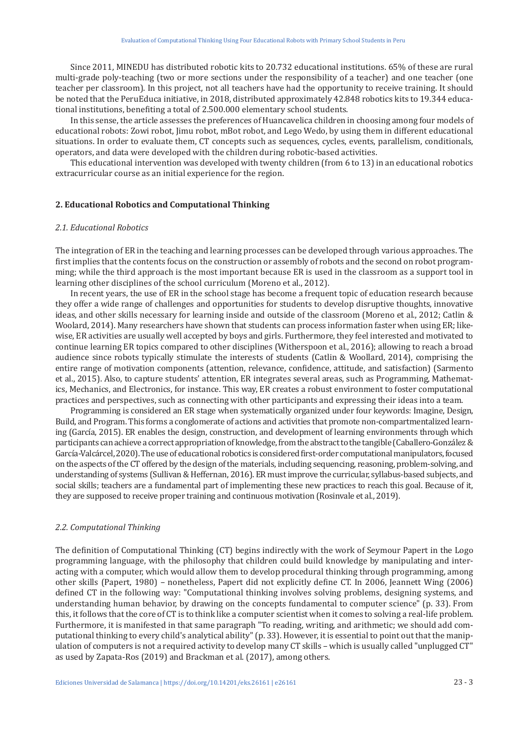Since 2011, MINEDU has distributed robotic kits to 20.732 educational institutions. 65% of these are rural multi-grade poly-teaching (two or more sections under the responsibility of a teacher) and one teacher (one teacher per classroom). In this project, not all teachers have had the opportunity to receive training. It should be noted that the PeruEduca initiative, in 2018, distributed approximately 42.848 robotics kits to 19.344 educational institutions, benefiting a total of 2.500.000 elementary school students.

In this sense, the article assesses the preferences of Huancavelica children in choosing among four models of educational robots: Zowi robot, Jimu robot, mBot robot, and Lego Wedo, by using them in different educational situations. In order to evaluate them, CT concepts such as sequences, cycles, events, parallelism, conditionals, operators, and data were developed with the children during robotic-based activities.

This educational intervention was developed with twenty children (from 6 to 13) in an educational robotics extracurricular course as an initial experience for the region.

# **2. Educational Robotics and Computational Thinking**

# *2.1. Educational Robotics*

The integration of ER in the teaching and learning processes can be developed through various approaches. The first implies that the contents focus on the construction or assembly of robots and the second on robot programming; while the third approach is the most important because ER is used in the classroom as a support tool in learning other disciplines of the school curriculum (Moreno et al., 2012).

In recent years, the use of ER in the school stage has become a frequent topic of education research because they offer a wide range of challenges and opportunities for students to develop disruptive thoughts, innovative ideas, and other skills necessary for learning inside and outside of the classroom (Moreno et al., 2012; Catlin & Woolard, 2014). Many researchers have shown that students can process information faster when using ER; likewise, ER activities are usually well accepted by boys and girls. Furthermore, they feel interested and motivated to continue learning ER topics compared to other disciplines (Witherspoon et al., 2016); allowing to reach a broad audience since robots typically stimulate the interests of students (Catlin & Woollard, 2014), comprising the entire range of motivation components (attention, relevance, confidence, attitude, and satisfaction) (Sarmento et al., 2015). Also, to capture students' attention, ER integrates several areas, such as Programming, Mathematics, Mechanics, and Electronics, for instance. This way, ER creates a robust environment to foster computational practices and perspectives, such as connecting with other participants and expressing their ideas into a team.

Programming is considered an ER stage when systematically organized under four keywords: Imagine, Design, Build, and Program. This forms a conglomerate of actions and activities that promote non-compartmentalized learning (García, 2015). ER enables the design, construction, and development of learning environments through which participants can achieve a correct appropriation of knowledge, from the abstract to the tangible (Caballero-González & García-Valcárcel, 2020). The use of educational robotics is considered first-order computational manipulators, focused on the aspects of the CT offered by the design of the materials, including sequencing, reasoning, problem-solving, and understanding of systems (Sullivan & Heffernan, 2016). ER must improve the curricular, syllabus-based subjects, and social skills; teachers are a fundamental part of implementing these new practices to reach this goal. Because of it, they are supposed to receive proper training and continuous motivation (Rosinvale et al., 2019).

### *2.2. Computational Thinking*

The definition of Computational Thinking (CT) begins indirectly with the work of Seymour Papert in the Logo programming language, with the philosophy that children could build knowledge by manipulating and interacting with a computer, which would allow them to develop procedural thinking through programming, among other skills (Papert, 1980) – nonetheless, Papert did not explicitly define CT. In 2006, Jeannett Wing (2006) defined CT in the following way: "Computational thinking involves solving problems, designing systems, and understanding human behavior, by drawing on the concepts fundamental to computer science" (p. 33). From this, it follows that the core of CT is to think like a computer scientist when it comes to solving a real-life problem. Furthermore, it is manifested in that same paragraph "To reading, writing, and arithmetic; we should add computational thinking to every child's analytical ability" (p. 33). However, it is essential to point out that the manipulation of computers is not a required activity to develop many CT skills – which is usually called "unplugged CT" as used by Zapata-Ros (2019) and Brackman et al. (2017), among others.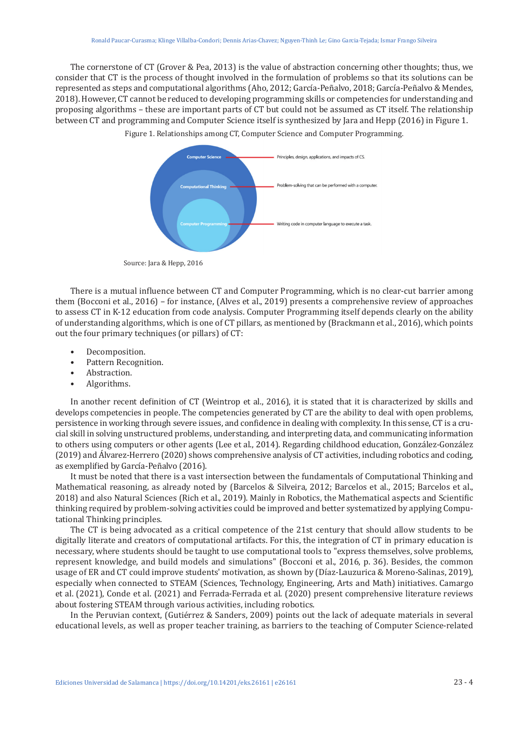The cornerstone of CT (Grover & Pea, 2013) is the value of abstraction concerning other thoughts; thus, we consider that CT is the process of thought involved in the formulation of problems so that its solutions can be represented as steps and computational algorithms (Aho, 2012; García-Peñalvo, 2018; García-Peñalvo & Mendes, 2018). However, CT cannot be reduced to developing programming skills or competencies for understanding and proposing algorithms – these are important parts of CT but could not be assumed as CT itself. The relationship between CT and programming and Computer Science itself is synthesized by Jara and Hepp (2016) in Figure 1.



Figure 1. Relationships among CT, Computer Science and Computer Programming.

Source: Jara & Hepp, 2016

There is a mutual influence between CT and Computer Programming, which is no clear-cut barrier among them (Bocconi et al., 2016) – for instance, (Alves et al., 2019) presents a comprehensive review of approaches to assess CT in K-12 education from code analysis. Computer Programming itself depends clearly on the ability of understanding algorithms, which is one of CT pillars, as mentioned by (Brackmann et al., 2016), which points out the four primary techniques (or pillars) of CT:

- Decomposition.<br>• Pattern Recogni
- Pattern Recognition.<br>• Abstraction
- Abstraction.<br>• Algorithms
- Algorithms.

In another recent definition of CT (Weintrop et al., 2016), it is stated that it is characterized by skills and develops competencies in people. The competencies generated by CT are the ability to deal with open problems, persistence in working through severe issues, and confidence in dealing with complexity. In this sense, CT is a crucial skill in solving unstructured problems, understanding, and interpreting data, and communicating information to others using computers or other agents (Lee et al., 2014). Regarding childhood education, González-González (2019) and Álvarez-Herrero (2020) shows comprehensive analysis of CT activities, including robotics and coding, as exemplified by García-Peñalvo (2016).

It must be noted that there is a vast intersection between the fundamentals of Computational Thinking and Mathematical reasoning, as already noted by (Barcelos & Silveira, 2012; Barcelos et al., 2015; Barcelos et al., 2018) and also Natural Sciences (Rich et al., 2019). Mainly in Robotics, the Mathematical aspects and Scientific thinking required by problem-solving activities could be improved and better systematized by applying Computational Thinking principles.

The CT is being advocated as a critical competence of the 21st century that should allow students to be digitally literate and creators of computational artifacts. For this, the integration of CT in primary education is necessary, where students should be taught to use computational tools to "express themselves, solve problems, represent knowledge, and build models and simulations" (Bocconi et al., 2016, p. 36). Besides, the common usage of ER and CT could improve students' motivation, as shown by (Díaz-Lauzurica & Moreno-Salinas, 2019), especially when connected to STEAM (Sciences, Technology, Engineering, Arts and Math) initiatives. Camargo et al. (2021), Conde et al. (2021) and Ferrada-Ferrada et al. (2020) present comprehensive literature reviews about fostering STEAM through various activities, including robotics.

In the Peruvian context, (Gutiérrez & Sanders, 2009) points out the lack of adequate materials in several educational levels, as well as proper teacher training, as barriers to the teaching of Computer Science-related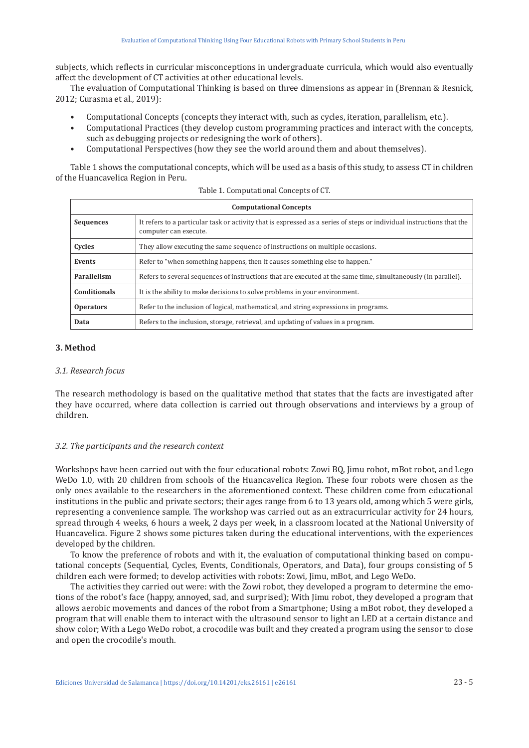subjects, which reflects in curricular misconceptions in undergraduate curricula, which would also eventually affect the development of CT activities at other educational levels.

The evaluation of Computational Thinking is based on three dimensions as appear in (Brennan & Resnick, 2012; Curasma et al., 2019):

- Computational Concepts (concepts they interact with, such as cycles, iteration, parallelism, etc.).
- Computational Practices (they develop custom programming practices and interact with the concepts, such as debugging projects or redesigning the work of others).
- Computational Perspectives (how they see the world around them and about themselves).

Table 1 shows the computational concepts, which will be used as a basis of this study, to assess CT in children of the Huancavelica Region in Peru.

|                     | <b>Computational Concepts</b>                                                                                                                  |
|---------------------|------------------------------------------------------------------------------------------------------------------------------------------------|
| <b>Sequences</b>    | It refers to a particular task or activity that is expressed as a series of steps or individual instructions that the<br>computer can execute. |
| Cycles              | They allow executing the same sequence of instructions on multiple occasions.                                                                  |
| Events              | Refer to "when something happens, then it causes something else to happen."                                                                    |
| Parallelism         | Refers to several sequences of instructions that are executed at the same time, simultaneously (in parallel).                                  |
| <b>Conditionals</b> | It is the ability to make decisions to solve problems in your environment.                                                                     |
| <b>Operators</b>    | Refer to the inclusion of logical, mathematical, and string expressions in programs.                                                           |
| Data                | Refers to the inclusion, storage, retrieval, and updating of values in a program.                                                              |
|                     |                                                                                                                                                |

Table 1. Computational Concepts of CT.

# **3. Method**

# *3.1. Research focus*

The research methodology is based on the qualitative method that states that the facts are investigated after they have occurred, where data collection is carried out through observations and interviews by a group of children.

# *3.2. The participants and the research context*

Workshops have been carried out with the four educational robots: Zowi BQ, Jimu robot, mBot robot, and Lego WeDo 1.0, with 20 children from schools of the Huancavelica Region. These four robots were chosen as the only ones available to the researchers in the aforementioned context. These children come from educational institutions in the public and private sectors; their ages range from 6 to 13 years old, among which 5 were girls, representing a convenience sample. The workshop was carried out as an extracurricular activity for 24 hours, spread through 4 weeks, 6 hours a week, 2 days per week, in a classroom located at the National University of Huancavelica. Figure 2 shows some pictures taken during the educational interventions, with the experiences developed by the children.

To know the preference of robots and with it, the evaluation of computational thinking based on computational concepts (Sequential, Cycles, Events, Conditionals, Operators, and Data), four groups consisting of 5 children each were formed; to develop activities with robots: Zowi, Jimu, mBot, and Lego WeDo.

The activities they carried out were: with the Zowi robot, they developed a program to determine the emotions of the robot's face (happy, annoyed, sad, and surprised); With Jimu robot, they developed a program that allows aerobic movements and dances of the robot from a Smartphone; Using a mBot robot, they developed a program that will enable them to interact with the ultrasound sensor to light an LED at a certain distance and show color; With a Lego WeDo robot, a crocodile was built and they created a program using the sensor to close and open the crocodile's mouth.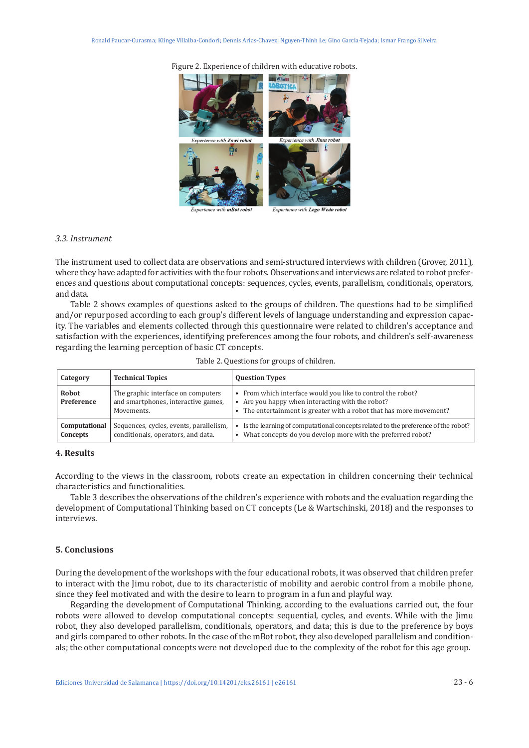Experience with Zowi robo Āŧ Experience with Lego Wedo robot

with **mBot robo** 

#### Figure 2. Experience of children with educative robots.

### *3.3. Instrument*

The instrument used to collect data are observations and semi-structured interviews with children (Grover, 2011), where they have adapted for activities with the four robots. Observations and interviews are related to robot preferences and questions about computational concepts: sequences, cycles, events, parallelism, conditionals, operators, and data.

Table 2 shows examples of questions asked to the groups of children. The questions had to be simplified and/or repurposed according to each group's different levels of language understanding and expression capacity. The variables and elements collected through this questionnaire were related to children's acceptance and satisfaction with the experiences, identifying preferences among the four robots, and children's self-awareness regarding the learning perception of basic CT concepts.

| Table 2. Questions for groups of children. |
|--------------------------------------------|
|                                            |

| Category                   | <b>Technical Topics</b>                                                                 | <b>Question Types</b>                                                                                                                                                                  |
|----------------------------|-----------------------------------------------------------------------------------------|----------------------------------------------------------------------------------------------------------------------------------------------------------------------------------------|
| <b>Robot</b><br>Preference | The graphic interface on computers<br>and smartphones, interactive games,<br>Movements. | • From which interface would you like to control the robot?<br>• Are you happy when interacting with the robot?<br>• The entertainment is greater with a robot that has more movement? |
| Computational<br>Concepts  | Sequences, cycles, events, parallelism,<br>conditionals, operators, and data.           | Is the learning of computational concepts related to the preference of the robot?<br>What concepts do you develop more with the preferred robot?                                       |

# **4. Results**

According to the views in the classroom, robots create an expectation in children concerning their technical characteristics and functionalities.

Table 3 describes the observations of the children's experience with robots and the evaluation regarding the development of Computational Thinking based on CT concepts (Le & Wartschinski, 2018) and the responses to interviews.

# **5. Conclusions**

During the development of the workshops with the four educational robots, it was observed that children prefer to interact with the Jimu robot, due to its characteristic of mobility and aerobic control from a mobile phone, since they feel motivated and with the desire to learn to program in a fun and playful way.

Regarding the development of Computational Thinking, according to the evaluations carried out, the four robots were allowed to develop computational concepts: sequential, cycles, and events. While with the Jimu robot, they also developed parallelism, conditionals, operators, and data; this is due to the preference by boys and girls compared to other robots. In the case of the mBot robot, they also developed parallelism and conditionals; the other computational concepts were not developed due to the complexity of the robot for this age group.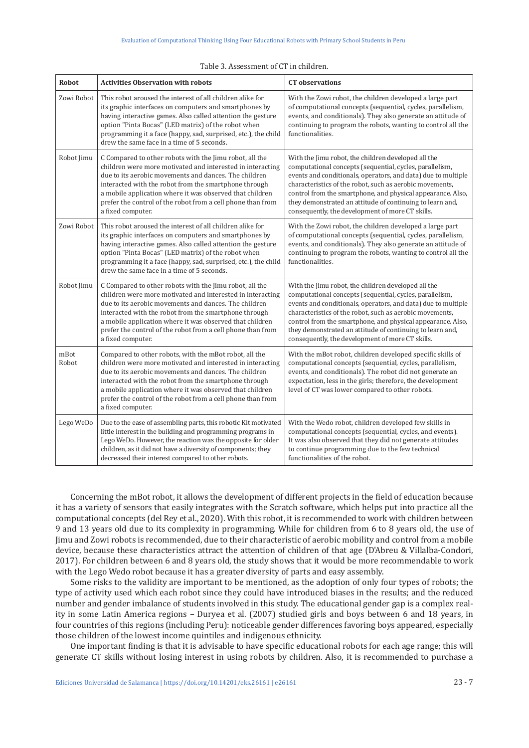| <b>Robot</b>  | <b>Activities Observation with robots</b>                                                                                                                                                                                                                                                                                                                                               | <b>CT</b> observations                                                                                                                                                                                                                                                                                                                                                                                                       |
|---------------|-----------------------------------------------------------------------------------------------------------------------------------------------------------------------------------------------------------------------------------------------------------------------------------------------------------------------------------------------------------------------------------------|------------------------------------------------------------------------------------------------------------------------------------------------------------------------------------------------------------------------------------------------------------------------------------------------------------------------------------------------------------------------------------------------------------------------------|
| Zowi Robot    | This robot aroused the interest of all children alike for<br>its graphic interfaces on computers and smartphones by<br>having interactive games. Also called attention the gesture<br>option "Pinta Bocas" (LED matrix) of the robot when<br>programming it a face (happy, sad, surprised, etc.), the child<br>drew the same face in a time of 5 seconds.                               | With the Zowi robot, the children developed a large part<br>of computational concepts (sequential, cycles, parallelism,<br>events, and conditionals). They also generate an attitude of<br>continuing to program the robots, wanting to control all the<br>functionalities.                                                                                                                                                  |
| Robot Jimu    | C Compared to other robots with the Jimu robot, all the<br>children were more motivated and interested in interacting<br>due to its aerobic movements and dances. The children<br>interacted with the robot from the smartphone through<br>a mobile application where it was observed that children<br>prefer the control of the robot from a cell phone than from<br>a fixed computer. | With the Jimu robot, the children developed all the<br>computational concepts (sequential, cycles, parallelism,<br>events and conditionals, operators, and data) due to multiple<br>characteristics of the robot, such as aerobic movements,<br>control from the smartphone, and physical appearance. Also,<br>they demonstrated an attitude of continuing to learn and,<br>consequently, the development of more CT skills. |
| Zowi Robot    | This robot aroused the interest of all children alike for<br>its graphic interfaces on computers and smartphones by<br>having interactive games. Also called attention the gesture<br>option "Pinta Bocas" (LED matrix) of the robot when<br>programming it a face (happy, sad, surprised, etc.), the child<br>drew the same face in a time of 5 seconds.                               | With the Zowi robot, the children developed a large part<br>of computational concepts (sequential, cycles, parallelism,<br>events, and conditionals). They also generate an attitude of<br>continuing to program the robots, wanting to control all the<br>functionalities.                                                                                                                                                  |
| Robot Jimu    | C Compared to other robots with the Jimu robot, all the<br>children were more motivated and interested in interacting<br>due to its aerobic movements and dances. The children<br>interacted with the robot from the smartphone through<br>a mobile application where it was observed that children<br>prefer the control of the robot from a cell phone than from<br>a fixed computer. | With the Jimu robot, the children developed all the<br>computational concepts (sequential, cycles, parallelism,<br>events and conditionals, operators, and data) due to multiple<br>characteristics of the robot, such as aerobic movements,<br>control from the smartphone, and physical appearance. Also,<br>they demonstrated an attitude of continuing to learn and,<br>consequently, the development of more CT skills. |
| mBot<br>Robot | Compared to other robots, with the mBot robot, all the<br>children were more motivated and interested in interacting<br>due to its aerobic movements and dances. The children<br>interacted with the robot from the smartphone through<br>a mobile application where it was observed that children<br>prefer the control of the robot from a cell phone than from<br>a fixed computer.  | With the mBot robot, children developed specific skills of<br>computational concepts (sequential, cycles, parallelism,<br>events, and conditionals). The robot did not generate an<br>expectation, less in the girls; therefore, the development<br>level of CT was lower compared to other robots.                                                                                                                          |
| Lego WeDo     | Due to the ease of assembling parts, this robotic Kit motivated<br>little interest in the building and programming programs in<br>Lego WeDo. However, the reaction was the opposite for older<br>children, as it did not have a diversity of components; they<br>decreased their interest compared to other robots.                                                                     | With the Wedo robot, children developed few skills in<br>computational concepts (sequential, cycles, and events).<br>It was also observed that they did not generate attitudes<br>to continue programming due to the few technical<br>functionalities of the robot.                                                                                                                                                          |

| Table 3. Assessment of CT in children. |
|----------------------------------------|
|                                        |

Concerning the mBot robot, it allows the development of different projects in the field of education because it has a variety of sensors that easily integrates with the Scratch software, which helps put into practice all the computational concepts (del Rey et al., 2020). With this robot, it is recommended to work with children between 9 and 13 years old due to its complexity in programming. While for children from 6 to 8 years old, the use of Jimu and Zowi robots is recommended, due to their characteristic of aerobic mobility and control from a mobile device, because these characteristics attract the attention of children of that age (D'Abreu & Villalba-Condori, 2017). For children between 6 and 8 years old, the study shows that it would be more recommendable to work with the Lego Wedo robot because it has a greater diversity of parts and easy assembly.

Some risks to the validity are important to be mentioned, as the adoption of only four types of robots; the type of activity used which each robot since they could have introduced biases in the results; and the reduced number and gender imbalance of students involved in this study. The educational gender gap is a complex reality in some Latin America regions – Duryea et al. (2007) studied girls and boys between 6 and 18 years, in four countries of this regions (including Peru): noticeable gender differences favoring boys appeared, especially those children of the lowest income quintiles and indigenous ethnicity.

One important finding is that it is advisable to have specific educational robots for each age range; this will generate CT skills without losing interest in using robots by children. Also, it is recommended to purchase a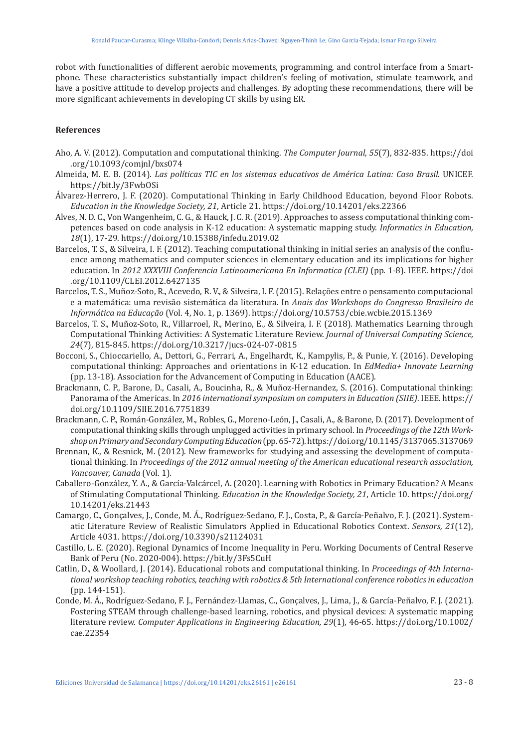robot with functionalities of different aerobic movements, programming, and control interface from a Smartphone. These characteristics substantially impact children's feeling of motivation, stimulate teamwork, and have a positive attitude to develop projects and challenges. By adopting these recommendations, there will be more significant achievements in developing CT skills by using ER.

# **References**

- Aho, A. V. (2012). Computation and computational thinking. *The Computer Journal, 55*(7), 832-835. [https://doi](https://doi.org/10.1093/comjnl/bxs074) [.org/10.1093/comjnl/bxs074](https://doi.org/10.1093/comjnl/bxs074)
- Almeida, M. E. B. (2014). *Las políticas TIC en los sistemas educativos de América Latina: Caso Brasil*. UNICEF. <https://bit.ly/3FwbOSi>
- Álvarez-Herrero, J. F. (2020). Computational Thinking in Early Childhood Education, beyond Floor Robots. *Education in the Knowledge Society, 21*, Article 21. <https://doi.org/10.14201/eks.22366>
- Alves, N. D. C., Von Wangenheim, C. G., & Hauck, J. C. R. (2019). Approaches to assess computational thinking competences based on code analysis in K-12 education: A systematic mapping study. *Informatics in Education, 18*(1), 17-29. <https://doi.org/10.15388/infedu.2019.02>
- Barcelos, T. S., & Silveira, I. F. (2012). Teaching computational thinking in initial series an analysis of the confluence among mathematics and computer sciences in elementary education and its implications for higher education. In *2012 XXXVIII Conferencia Latinoamericana En Informatica (CLEI)* (pp. 1-8). IEEE. [https://doi](https://doi.org/10.1109/CLEI.2012.6427135) [.org/10.1109/CLEI.2012.6427135](https://doi.org/10.1109/CLEI.2012.6427135)
- Barcelos, T. S., Muñoz-Soto, R., Acevedo, R. V., & Silveira, I. F. (2015). Relações entre o pensamento computacional e a matemática: uma revisão sistemática da literatura. In *Anais dos Workshops do Congresso Brasileiro de Informática na Educação* (Vol. 4, No. 1, p. 1369). <https://doi.org/10.5753/cbie.wcbie.2015.1369>
- Barcelos, T. S., Muñoz-Soto, R., Villarroel, R., Merino, E., & Silveira, I. F. (2018). Mathematics Learning through Computational Thinking Activities: A Systematic Literature Review. *Journal of Universal Computing Science, 24*(7), 815-845.<https://doi.org/10.3217/jucs-024-07-0815>
- Bocconi, S., Chioccariello, A., Dettori, G., Ferrari, A., Engelhardt, K., Kampylis, P., & Punie, Y. (2016). Developing computational thinking: Approaches and orientations in K-12 education. In *EdMedia+ Innovate Learning* (pp. 13-18). Association for the Advancement of Computing in Education (AACE).
- Brackmann, C. P., Barone, D., Casali, A., Boucinha, R., & Muñoz-Hernandez, S. (2016). Computational thinking: Panorama of the Americas. In *2016 international symposium on computers in Education (SIIE)*. IEEE. [https://](https://doi.org/10.1109/SIIE.2016.7751839) [doi.org/10.1109/SIIE.2016.7751839](https://doi.org/10.1109/SIIE.2016.7751839)
- Brackmann, C. P., Román-González, M., Robles, G., Moreno-León, J., Casali, A., & Barone, D. (2017). Development of computational thinking skills through unplugged activities in primary school. In *Proceedings of the 12th Workshop on Primary and Secondary Computing Education* (pp. 65-72).<https://doi.org/10.1145/3137065.3137069>
- Brennan, K., & Resnick, M. (2012). New frameworks for studying and assessing the development of computational thinking. In *Proceedings of the 2012 annual meeting of the American educational research association, Vancouver, Canada* (Vol. 1).
- Caballero-González, Y. A., & García-Valcárcel, A. (2020). Learning with Robotics in Primary Education? A Means of Stimulating Computational Thinking. *Education in the Knowledge Society, 21*, Article 10. [https://doi.org/](https://doi.org/10.14201/eks.21443) [10.14201/eks.21443](https://doi.org/10.14201/eks.21443)
- Camargo, C., Gonçalves, J., Conde, M. Á., Rodríguez-Sedano, F. J., Costa, P., & García-Peñalvo, F. J. (2021). Systematic Literature Review of Realistic Simulators Applied in Educational Robotics Context. *Sensors, 21*(12), Article 4031.<https://doi.org/10.3390/s21124031>
- Castillo, L. E. (2020). Regional Dynamics of Income Inequality in Peru. Working Documents of Central Reserve Bank of Peru (No. 2020-004).<https://bit.ly/3Fs5CuH>
- Catlin, D., & Woollard, J. (2014). Educational robots and computational thinking. In *Proceedings of 4th International workshop teaching robotics, teaching with robotics & 5th International conference robotics in education* (pp. 144-151).
- Conde, M. Á., Rodríguez-Sedano, F. J., Fernández-Llamas, C., Gonçalves, J., Lima, J., & García-Peñalvo, F. J. (2021). Fostering STEAM through challenge-based learning, robotics, and physical devices: A systematic mapping literature review. *Computer Applications in Engineering Education, 29*(1), 46-65. [https://doi.org/10.1002/](https://doi.org/10.1002/cae.22354) [cae.22354](https://doi.org/10.1002/cae.22354)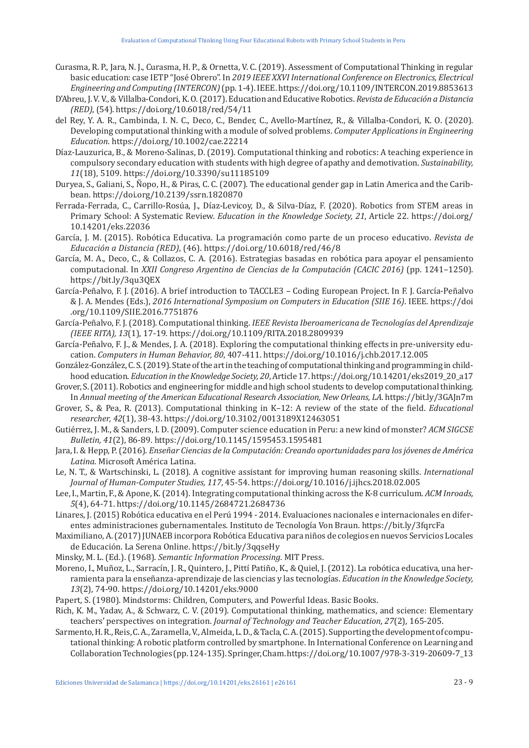- Curasma, R. P., Jara, N. J., Curasma, H. P., & Ornetta, V. C. (2019). Assessment of Computational Thinking in regular basic education: case IETP "José Obrero". In *2019 IEEE XXVI International Conference on Electronics, Electrical Engineering and Computing (INTERCON)* (pp. 1-4). IEEE.<https://doi.org/10.1109/INTERCON.2019.8853613>
- D'Abreu, J. V. V., & Villalba-Condori, K. O. (2017). Education and Educative Robotics. *Revista de Educación a Distancia (RED)*, (54). <https://doi.org/10.6018/red/54/11>
- del Rey, Y. A. R., Cambinda, I. N. C., Deco, C., Bender, C., Avello-Martínez, R., & Villalba-Condori, K. O. (2020). Developing computational thinking with a module of solved problems. *Computer Applications in Engineering Education*. <https://doi.org/10.1002/cae.22214>
- Díaz-Lauzurica, B., & Moreno-Salinas, D. (2019). Computational thinking and robotics: A teaching experience in compulsory secondary education with students with high degree of apathy and demotivation. *Sustainability, 11*(18), 5109.<https://doi.org/10.3390/su11185109>
- Duryea, S., Galiani, S., Ñopo, H., & Piras, C. C. (2007). The educational gender gap in Latin America and the Caribbean.<https://doi.org/10.2139/ssrn.1820870>
- Ferrada-Ferrada, C., Carrillo-Rosúa, J., Díaz-Levicoy, D., & Silva-Díaz, F. (2020). Robotics from STEM areas in Primary School: A Systematic Review. *Education in the Knowledge Society, 21*, Article 22. [https://doi.org/](https://doi.org/10.14201/eks.22036) [10.14201/eks.22036](https://doi.org/10.14201/eks.22036)
- García, J. M. (2015). Robótica Educativa. La programación como parte de un proceso educativo. *Revista de Educación a Distancia (RED)*, (46). <https://doi.org/10.6018/red/46/8>
- García, M. A., Deco, C., & Collazos, C. A. (2016). Estrategias basadas en robótica para apoyar el pensamiento computacional. In *XXII Congreso Argentino de Ciencias de la Computación (CACIC 2016)* (pp. 1241–1250). <https://bit.ly/3qu3QEX>
- García-Peñalvo, F. J. (2016). A brief introduction to TACCLE3 Coding European Project. In F. J. García-Peñalvo & J. A. Mendes (Eds.), *2016 International Symposium on Computers in Education (SIIE 16)*. IEEE. [https://doi](https://doi.org/10.1109/SIIE.2016.7751876) [.org/10.1109/SIIE.2016.7751876](https://doi.org/10.1109/SIIE.2016.7751876)
- García-Peñalvo, F. J. (2018). Computational thinking. *IEEE Revista Iberoamericana de Tecnologías del Aprendizaje (IEEE RITA), 13*(1), 17-19.<https://doi.org/10.1109/RITA.2018.2809939>
- García-Peñalvo, F. J., & Mendes, J. A. (2018). Exploring the computational thinking effects in pre-university education. *Computers in Human Behavior, 80*, 407-411. <https://doi.org/10.1016/j.chb.2017.12.005>
- González-González, C. S. (2019). State of the art in the teaching of computational thinking and programming in childhood education. *Education in the Knowledge Society, 20*, Article 17. [https://doi.org/10.14201/eks2019\\_20\\_a17](https://doi.org/10.14201/eks2019_20_a17)
- Grover, S. (2011). Robotics and engineering for middle and high school students to develop computational thinking. In *Annual meeting of the American Educational Research Association, New Orleans, LA*. <https://bit.ly/3GAJn7m>
- Grover, S., & Pea, R. (2013). Computational thinking in K–12: A review of the state of the field. *Educational researcher, 42*(1), 38-43.<https://doi.org/10.3102/0013189X12463051>
- Gutiérrez, J. M., & Sanders, I. D. (2009). Computer science education in Peru: a new kind of monster? *ACM SIGCSE Bulletin, 41*(2), 86-89.<https://doi.org/10.1145/1595453.1595481>
- Jara, I. & Hepp, P. (2016). *Enseñar Ciencias de la Computación: Creando oportunidades para los jóvenes de América Latina*. Microsoft América Latina.
- Le, N. T., & Wartschinski, L. (2018). A cognitive assistant for improving human reasoning skills. *International Journal of Human-Computer Studies, 117*, 45-54.<https://doi.org/10.1016/j.ijhcs.2018.02.005>
- Lee, I., Martin, F., & Apone, K. (2014). Integrating computational thinking across the K-8 curriculum. *ACM Inroads, 5*(4), 64-71. <https://doi.org/10.1145/2684721.2684736>
- Linares, J. (2015) Robótica educativa en el Perú 1994 2014. Evaluaciones nacionales e internacionales en diferentes administraciones gubernamentales. Instituto de Tecnología Von Braun.<https://bit.ly/3fqrcFa>
- Maximiliano, A. (2017) JUNAEB incorpora Robótica Educativa para niños de colegios en nuevos Servicios Locales de Educación. La Serena Online. <https://bit.ly/3qqseHy>
- Minsky, M. L. (Ed.). (1968). *Semantic Information Processing*. MIT Press.
- Moreno, I., Muñoz, L., Sarracín, J. R., Quintero, J., Pittí Patiño, K., & Quiel, J. (2012). La robótica educativa, una herramienta para la enseñanza-aprendizaje de las ciencias y las tecnologías. *Education in the Knowledge Society, 13*(2), 74-90.<https://doi.org/10.14201/eks.9000>
- Papert, S. (1980). Mindstorms: Children, Computers, and Powerful Ideas. Basic Books.
- Rich, K. M., Yadav, A., & Schwarz, C. V. (2019). Computational thinking, mathematics, and science: Elementary teachers' perspectives on integration. *Journal of Technology and Teacher Education, 27*(2), 165-205.
- Sarmento, H. R., Reis, C. A., Zaramella, V., Almeida, L. D., & Tacla, C. A. (2015). Supporting the development of computational thinking: A robotic platform controlled by smartphone. In International Conference on Learning and Collaboration Technologies (pp. 124-135). Springer, Cham. [https://doi.org/10.1007/978-3-319-20609-7\\_13](https://doi.org/10.1007/978-3-319-20609-7_13)